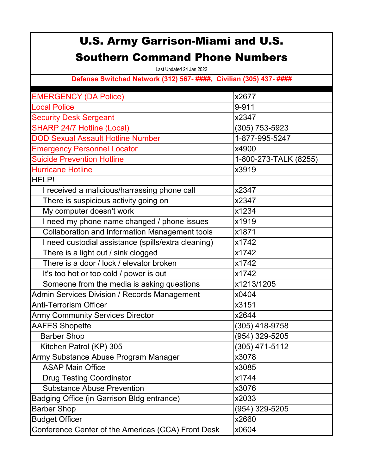| <b>U.S. Army Garrison-Miami and U.S.</b><br><b>Southern Command Phone Numbers</b><br>Last Updated 24 Jan 2022 |                       |  |
|---------------------------------------------------------------------------------------------------------------|-----------------------|--|
|                                                                                                               |                       |  |
| <b>EMERGENCY (DA Police)</b>                                                                                  | x2677                 |  |
| <b>Local Police</b>                                                                                           | 9-911                 |  |
| <b>Security Desk Sergeant</b>                                                                                 | x2347                 |  |
| <b>SHARP 24/7 Hotline (Local)</b>                                                                             | (305) 753-5923        |  |
| <b>DOD Sexual Assault Hotline Number</b>                                                                      | 1-877-995-5247        |  |
| <b>Emergency Personnel Locator</b>                                                                            | x4900                 |  |
| <b>Suicide Prevention Hotline</b>                                                                             | 1-800-273-TALK (8255) |  |
| <b>Hurricane Hotline</b>                                                                                      | x3919                 |  |
| HELP!                                                                                                         |                       |  |
| I received a malicious/harrassing phone call                                                                  | x2347                 |  |
| There is suspicious activity going on                                                                         | x2347                 |  |
| My computer doesn't work                                                                                      | x1234                 |  |
| I need my phone name changed / phone issues                                                                   | x1919                 |  |
| <b>Collaboration and Information Management tools</b>                                                         | x1871                 |  |
| I need custodial assistance (spills/extra cleaning)                                                           | x1742                 |  |
| There is a light out / sink clogged                                                                           | x1742                 |  |
| There is a door / lock / elevator broken                                                                      | x1742                 |  |
| It's too hot or too cold / power is out                                                                       | x1742                 |  |
| Someone from the media is asking questions                                                                    | x1213/1205            |  |
| <b>Admin Services Division / Records Management</b>                                                           | x0404                 |  |
| Anti-Terrorism Officer                                                                                        | x3151                 |  |
| <b>Army Community Services Director</b>                                                                       | x2644                 |  |
| <b>AAFES Shopette</b>                                                                                         | (305) 418-9758        |  |
| <b>Barber Shop</b>                                                                                            | (954) 329-5205        |  |
| Kitchen Patrol (KP) 305                                                                                       | (305) 471-5112        |  |
| Army Substance Abuse Program Manager                                                                          | x3078                 |  |
| <b>ASAP Main Office</b>                                                                                       | x3085                 |  |
| <b>Drug Testing Coordinator</b>                                                                               | x1744                 |  |
| <b>Substance Abuse Prevention</b>                                                                             | x3076                 |  |
| Badging Office (in Garrison Bldg entrance)                                                                    | x2033                 |  |
| <b>Barber Shop</b>                                                                                            | (954) 329-5205        |  |
| <b>Budget Officer</b>                                                                                         | x2660                 |  |
| Conference Center of the Americas (CCA) Front Desk                                                            | x0604                 |  |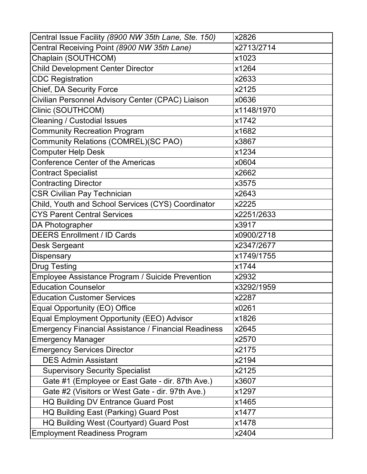| Central Issue Facility (8900 NW 35th Lane, Ste. 150)        | x2826      |
|-------------------------------------------------------------|------------|
| Central Receiving Point (8900 NW 35th Lane)                 | x2713/2714 |
| Chaplain (SOUTHCOM)                                         | x1023      |
| <b>Child Development Center Director</b>                    | x1264      |
| <b>CDC Registration</b>                                     | x2633      |
| <b>Chief, DA Security Force</b>                             | x2125      |
| Civilian Personnel Advisory Center (CPAC) Liaison           | x0636      |
| Clinic (SOUTHCOM)                                           | x1148/1970 |
| <b>Cleaning / Custodial Issues</b>                          | x1742      |
| <b>Community Recreation Program</b>                         | x1682      |
| <b>Community Relations (COMREL)(SC PAO)</b>                 | x3867      |
| <b>Computer Help Desk</b>                                   | x1234      |
| <b>Conference Center of the Americas</b>                    | x0604      |
| <b>Contract Specialist</b>                                  | x2662      |
| <b>Contracting Director</b>                                 | x3575      |
| <b>CSR Civilian Pay Technician</b>                          | x2643      |
| Child, Youth and School Services (CYS) Coordinator          | x2225      |
| <b>CYS Parent Central Services</b>                          | x2251/2633 |
| DA Photographer                                             | x3917      |
| <b>DEERS Enrollment / ID Cards</b>                          | x0900/2718 |
| Desk Sergeant                                               | x2347/2677 |
| <b>Dispensary</b>                                           | x1749/1755 |
| <b>Drug Testing</b>                                         | x1744      |
| <b>Employee Assistance Program / Suicide Prevention</b>     | x2932      |
| <b>Education Counselor</b>                                  | x3292/1959 |
| <b>Education Customer Services</b>                          | x2287      |
| Equal Opportunity (EO) Office                               | x0261      |
| <b>Equal Employment Opportunity (EEO) Advisor</b>           | x1826      |
| <b>Emergency Financial Assistance / Financial Readiness</b> | x2645      |
| <b>Emergency Manager</b>                                    | x2570      |
| <b>Emergency Services Director</b>                          | x2175      |
| <b>DES Admin Assistant</b>                                  | x2194      |
| <b>Supervisory Security Specialist</b>                      | x2125      |
| Gate #1 (Employee or East Gate - dir. 87th Ave.)            | x3607      |
| Gate #2 (Visitors or West Gate - dir. 97th Ave.)            | x1297      |
| <b>HQ Building DV Entrance Guard Post</b>                   | x1465      |
| HQ Building East (Parking) Guard Post                       | x1477      |
| HQ Building West (Courtyard) Guard Post                     | x1478      |
| <b>Employment Readiness Program</b>                         | x2404      |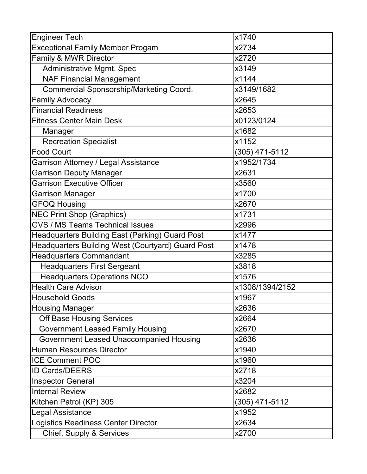| <b>Engineer Tech</b>                                     | x1740            |
|----------------------------------------------------------|------------------|
| <b>Exceptional Family Member Progam</b>                  | x2734            |
| <b>Family &amp; MWR Director</b>                         | x2720            |
| <b>Administrative Mgmt. Spec</b>                         | x3149            |
| <b>NAF Financial Management</b>                          | x1144            |
| <b>Commercial Sponsorship/Marketing Coord.</b>           | x3149/1682       |
| <b>Family Advocacy</b>                                   | x2645            |
| <b>Financial Readiness</b>                               | x2653            |
| <b>Fitness Center Main Desk</b>                          | x0123/0124       |
| Manager                                                  | x1682            |
| <b>Recreation Specialist</b>                             | x1152            |
| <b>Food Court</b>                                        | (305) 471-5112   |
| <b>Garrison Attorney / Legal Assistance</b>              | x1952/1734       |
| <b>Garrison Deputy Manager</b>                           | x2631            |
| <b>Garrison Executive Officer</b>                        | x3560            |
| <b>Garrison Manager</b>                                  | x1700            |
| <b>GFOQ Housing</b>                                      | x2670            |
| <b>NEC Print Shop (Graphics)</b>                         | x1731            |
| <b>GVS / MS Teams Technical Issues</b>                   | x2996            |
| <b>Headquarters Building East (Parking) Guard Post</b>   | x1477            |
| <b>Headquarters Building West (Courtyard) Guard Post</b> | x1478            |
| <b>Headquarters Commandant</b>                           | x3285            |
| <b>Headquarters First Sergeant</b>                       | x3818            |
| <b>Headquarters Operations NCO</b>                       | x1576            |
| <b>Health Care Advisor</b>                               | x1308/1394/2152  |
| <b>Household Goods</b>                                   | x1967            |
| <b>Housing Manager</b>                                   | x2636            |
| <b>Off Base Housing Services</b>                         | x2664            |
| <b>Government Leased Family Housing</b>                  | x2670            |
| <b>Government Leased Unaccompanied Housing</b>           | x2636            |
| <b>Human Resources Director</b>                          | x1940            |
| <b>ICE Comment POC</b>                                   | x1960            |
| <b>ID Cards/DEERS</b>                                    | x2718            |
| <b>Inspector General</b>                                 | x3204            |
| <b>Internal Review</b>                                   | x2682            |
| Kitchen Patrol (KP) 305                                  | $(305)$ 471-5112 |
| <b>Legal Assistance</b>                                  | x1952            |
| Logistics Readiness Center Director                      | x2634            |
| <b>Chief, Supply &amp; Services</b>                      | x2700            |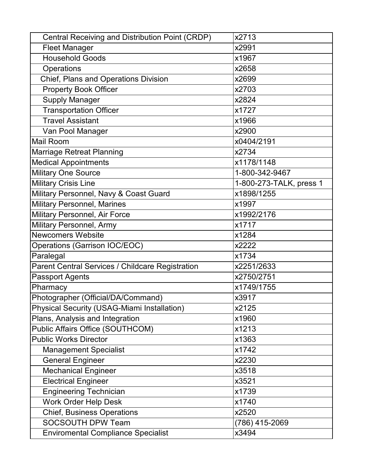| Central Receiving and Distribution Point (CRDP)         | x2713                   |
|---------------------------------------------------------|-------------------------|
| <b>Fleet Manager</b>                                    | x2991                   |
| <b>Household Goods</b>                                  | x1967                   |
| <b>Operations</b>                                       | x2658                   |
| <b>Chief, Plans and Operations Division</b>             | x2699                   |
| <b>Property Book Officer</b>                            | x2703                   |
| <b>Supply Manager</b>                                   | x2824                   |
| <b>Transportation Officer</b>                           | x1727                   |
| <b>Travel Assistant</b>                                 | x1966                   |
| Van Pool Manager                                        | x2900                   |
| <b>Mail Room</b>                                        | x0404/2191              |
| <b>Marriage Retreat Planning</b>                        | x2734                   |
| <b>Medical Appointments</b>                             | x1178/1148              |
| <b>Military One Source</b>                              | 1-800-342-9467          |
| <b>Military Crisis Line</b>                             | 1-800-273-TALK, press 1 |
| Military Personnel, Navy & Coast Guard                  | x1898/1255              |
| <b>Military Personnel, Marines</b>                      | x1997                   |
| <b>Military Personnel, Air Force</b>                    | x1992/2176              |
| <b>Military Personnel, Army</b>                         | x1717                   |
| <b>Newcomers Website</b>                                | x1284                   |
| <b>Operations (Garrison IOC/EOC)</b>                    | x2222                   |
| Paralegal                                               | x1734                   |
| <b>Parent Central Services / Childcare Registration</b> | x2251/2633              |
| <b>Passport Agents</b>                                  | x2750/2751              |
| Pharmacy                                                | x1749/1755              |
| Photographer (Official/DA/Command)                      | x3917                   |
| <b>Physical Security (USAG-Miami Installation)</b>      | x2125                   |
| Plans, Analysis and Integration                         | x1960                   |
| <b>Public Affairs Office (SOUTHCOM)</b>                 | x1213                   |
| <b>Public Works Director</b>                            | x1363                   |
| <b>Management Specialist</b>                            | x1742                   |
| <b>General Engineer</b>                                 | x2230                   |
| <b>Mechanical Engineer</b>                              | x3518                   |
| <b>Electrical Engineer</b>                              | x3521                   |
| <b>Engineering Technician</b>                           | x1739                   |
| <b>Work Order Help Desk</b>                             | x1740                   |
| <b>Chief, Business Operations</b>                       | x2520                   |
| <b>SOCSOUTH DPW Team</b>                                | (786) 415-2069          |
| <b>Enviromental Compliance Specialist</b>               | x3494                   |